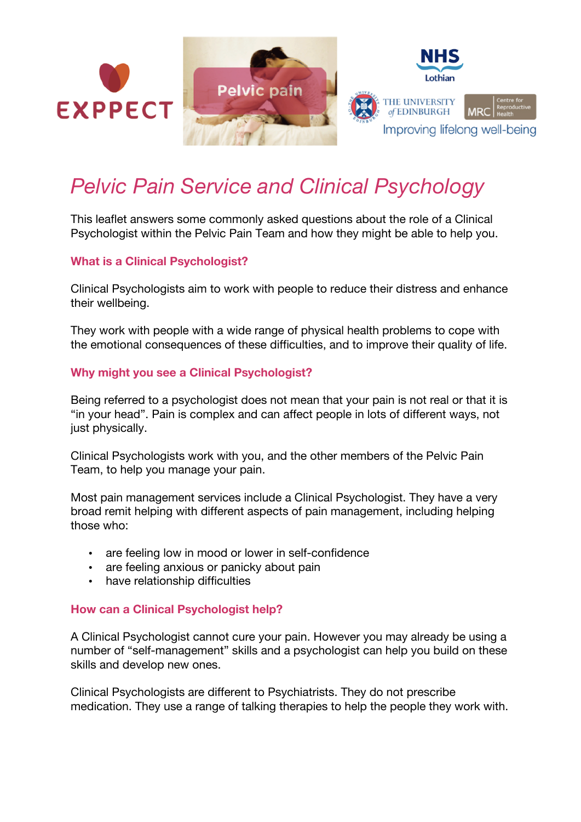

# *Pelvic Pain Service and Clinical Psychology*

This leaflet answers some commonly asked questions about the role of a Clinical Psychologist within the Pelvic Pain Team and how they might be able to help you.

#### **What is a Clinical Psychologist?**

Clinical Psychologists aim to work with people to reduce their distress and enhance their wellbeing.

They work with people with a wide range of physical health problems to cope with the emotional consequences of these difficulties, and to improve their quality of life.

#### **Why might you see a Clinical Psychologist?**

Being referred to a psychologist does not mean that your pain is not real or that it is "in your head". Pain is complex and can affect people in lots of different ways, not just physically.

Clinical Psychologists work with you, and the other members of the Pelvic Pain Team, to help you manage your pain.

Most pain management services include a Clinical Psychologist. They have a very broad remit helping with different aspects of pain management, including helping those who:

- are feeling low in mood or lower in self-confidence
- are feeling anxious or panicky about pain
- have relationship difficulties

#### **How can a Clinical Psychologist help?**

A Clinical Psychologist cannot cure your pain. However you may already be using a number of "self-management" skills and a psychologist can help you build on these skills and develop new ones.

Clinical Psychologists are different to Psychiatrists. They do not prescribe medication. They use a range of talking therapies to help the people they work with.